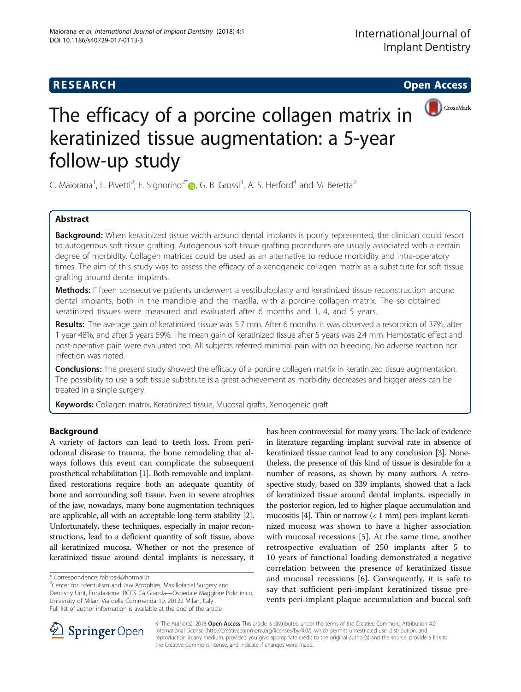# **RESEARCH CHE Open Access**



# The efficacy of a porcine collagen matrix in keratinized tissue augmentation: a 5-year follow-up study

C. Maiorana<sup>1</sup>[,](http://orcid.org/0000-0002-5232-0909) L. Pivetti<sup>2</sup>, F. Signorino<sup>2\*</sup> $\bullet$ , G. B. Grossi<sup>3</sup>, A. S. Herford<sup>4</sup> and M. Beretta<sup>2</sup>

# Abstract

Background: When keratinized tissue width around dental implants is poorly represented, the clinician could resort to autogenous soft tissue grafting. Autogenous soft tissue grafting procedures are usually associated with a certain degree of morbidity. Collagen matrices could be used as an alternative to reduce morbidity and intra-operatory times. The aim of this study was to assess the efficacy of a xenogeneic collagen matrix as a substitute for soft tissue grafting around dental implants.

Methods: Fifteen consecutive patients underwent a vestibuloplasty and keratinized tissue reconstruction around dental implants, both in the mandible and the maxilla, with a porcine collagen matrix. The so obtained keratinized tissues were measured and evaluated after 6 months and 1, 4, and 5 years.

Results: The average gain of keratinized tissue was 5.7 mm. After 6 months, it was observed a resorption of 37%, after 1 year 48%, and after 5 years 59%. The mean gain of keratinized tissue after 5 years was 2.4 mm. Hemostatic effect and post-operative pain were evaluated too. All subjects referred minimal pain with no bleeding. No adverse reaction nor infection was noted.

**Conclusions:** The present study showed the efficacy of a porcine collagen matrix in keratinized tissue augmentation. The possibility to use a soft tissue substitute is a great achievement as morbidity decreases and bigger areas can be treated in a single surgery.

Keywords: Collagen matrix, Keratinized tissue, Mucosal grafts, Xenogeneic graft

# Background

A variety of factors can lead to teeth loss. From periodontal disease to trauma, the bone remodeling that always follows this event can complicate the subsequent prosthetical rehabilitation [\[1](#page-5-0)]. Both removable and implantfixed restorations require both an adequate quantity of bone and sorrounding soft tissue. Even in severe atrophies of the jaw, nowadays, many bone augmentation techniques are applicable, all with an acceptable long-term stability [[2](#page-5-0)]. Unfortunately, these techniques, especially in major reconstructions, lead to a deficient quantity of soft tissue, above all keratinized mucosa. Whether or not the presence of keratinized tissue around dental implants is necessary, it

<sup>2</sup> Center for Edentulism and Jaw Atrophies, Maxillofacial Surgery and Dentistry Unit, Fondazione IRCCS Cà Granda—Ospedale Maggiore Policlinico, University of Milan, Via della Commenda 10, 20122 Milan, Italy Full list of author information is available at the end of the article

has been controversial for many years. The lack of evidence in literature regarding implant survival rate in absence of keratinized tissue cannot lead to any conclusion [[3](#page-5-0)]. Nonetheless, the presence of this kind of tissue is desirable for a number of reasons, as shown by many authors. A retrospective study, based on 339 implants, showed that a lack of keratinized tissue around dental implants, especially in the posterior region, led to higher plaque accumulation and mucositis [\[4](#page-5-0)]. Thin or narrow  $(< 1$  mm) peri-implant keratinized mucosa was shown to have a higher association with mucosal recessions [\[5](#page-5-0)]. At the same time, another retrospective evaluation of 250 implants after 5 to 10 years of functional loading demonstrated a negative correlation between the presence of keratinized tissue and mucosal recessions [\[6](#page-5-0)]. Consequently, it is safe to say that sufficient peri-implant keratinized tissue prevents peri-implant plaque accumulation and buccal soft



© The Author(s). 2018 Open Access This article is distributed under the terms of the Creative Commons Attribution 4.0 International License ([http://creativecommons.org/licenses/by/4.0/\)](http://creativecommons.org/licenses/by/4.0/), which permits unrestricted use, distribution, and reproduction in any medium, provided you give appropriate credit to the original author(s) and the source, provide a link to the Creative Commons license, and indicate if changes were made.

<sup>\*</sup> Correspondence: [fabroski@hotmail.it](mailto:fabroski@hotmail.it) <sup>2</sup>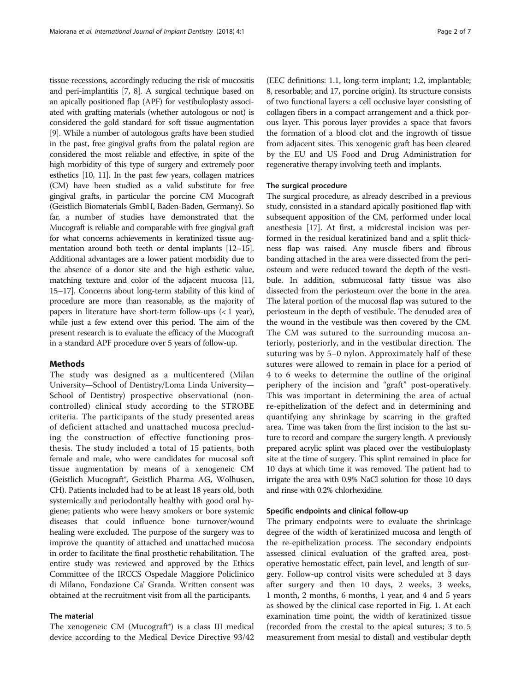tissue recessions, accordingly reducing the risk of mucositis and peri-implantitis [\[7, 8\]](#page-5-0). A surgical technique based on an apically positioned flap (APF) for vestibuloplasty associated with grafting materials (whether autologous or not) is considered the gold standard for soft tissue augmentation [[9](#page-5-0)]. While a number of autologous grafts have been studied in the past, free gingival grafts from the palatal region are considered the most reliable and effective, in spite of the high morbidity of this type of surgery and extremely poor esthetics [[10](#page-5-0), [11](#page-5-0)]. In the past few years, collagen matrices (CM) have been studied as a valid substitute for free gingival grafts, in particular the porcine CM Mucograft (Geistlich Biomaterials GmbH, Baden-Baden, Germany). So far, a number of studies have demonstrated that the Mucograft is reliable and comparable with free gingival graft for what concerns achievements in keratinized tissue augmentation around both teeth or dental implants [\[12](#page-5-0)–[15](#page-5-0)]. Additional advantages are a lower patient morbidity due to the absence of a donor site and the high esthetic value, matching texture and color of the adjacent mucosa [\[11](#page-5-0), [15](#page-5-0)–[17](#page-5-0)]. Concerns about long-term stability of this kind of procedure are more than reasonable, as the majority of papers in literature have short-term follow-ups  $($  < 1 year), while just a few extend over this period. The aim of the present research is to evaluate the efficacy of the Mucograft in a standard APF procedure over 5 years of follow-up.

#### Methods

The study was designed as a multicentered (Milan University—School of Dentistry/Loma Linda University— School of Dentistry) prospective observational (noncontrolled) clinical study according to the STROBE criteria. The participants of the study presented areas of deficient attached and unattached mucosa precluding the construction of effective functioning prosthesis. The study included a total of 15 patients, both female and male, who were candidates for mucosal soft tissue augmentation by means of a xenogeneic CM (Geistlich Mucograft®, Geistlich Pharma AG, Wolhusen, CH). Patients included had to be at least 18 years old, both systemically and periodontally healthy with good oral hygiene; patients who were heavy smokers or bore systemic diseases that could influence bone turnover/wound healing were excluded. The purpose of the surgery was to improve the quantity of attached and unattached mucosa in order to facilitate the final prosthetic rehabilitation. The entire study was reviewed and approved by the Ethics Committee of the IRCCS Ospedale Maggiore Policlinico di Milano, Fondazione Ca' Granda. Written consent was obtained at the recruitment visit from all the participants.

# The material

The xenogeneic CM (Mucograft®) is a class III medical device according to the Medical Device Directive 93/42

(EEC definitions: 1.1, long-term implant; 1.2, implantable; 8, resorbable; and 17, porcine origin). Its structure consists of two functional layers: a cell occlusive layer consisting of collagen fibers in a compact arrangement and a thick porous layer. This porous layer provides a space that favors the formation of a blood clot and the ingrowth of tissue from adjacent sites. This xenogenic graft has been cleared by the EU and US Food and Drug Administration for regenerative therapy involving teeth and implants.

#### The surgical procedure

The surgical procedure, as already described in a previous study, consisted in a standard apically positioned flap with subsequent apposition of the CM, performed under local anesthesia [\[17](#page-5-0)]. At first, a midcrestal incision was performed in the residual keratinized band and a split thickness flap was raised. Any muscle fibers and fibrous banding attached in the area were dissected from the periosteum and were reduced toward the depth of the vestibule. In addition, submucosal fatty tissue was also dissected from the periosteum over the bone in the area. The lateral portion of the mucosal flap was sutured to the periosteum in the depth of vestibule. The denuded area of the wound in the vestibule was then covered by the CM. The CM was sutured to the surrounding mucosa anteriorly, posteriorly, and in the vestibular direction. The suturing was by 5–0 nylon. Approximately half of these sutures were allowed to remain in place for a period of 4 to 6 weeks to determine the outline of the original periphery of the incision and "graft" post-operatively. This was important in determining the area of actual re-epithelization of the defect and in determining and quantifying any shrinkage by scarring in the grafted area. Time was taken from the first incision to the last suture to record and compare the surgery length. A previously prepared acrylic splint was placed over the vestibuloplasty site at the time of surgery. This splint remained in place for 10 days at which time it was removed. The patient had to irrigate the area with 0.9% NaCl solution for those 10 days and rinse with 0.2% chlorhexidine.

#### Specific endpoints and clinical follow-up

The primary endpoints were to evaluate the shrinkage degree of the width of keratinized mucosa and length of the re-epithelization process. The secondary endpoints assessed clinical evaluation of the grafted area, postoperative hemostatic effect, pain level, and length of surgery. Follow-up control visits were scheduled at 3 days after surgery and then 10 days, 2 weeks, 3 weeks, 1 month, 2 months, 6 months, 1 year, and 4 and 5 years as showed by the clinical case reported in Fig. [1.](#page-2-0) At each examination time point, the width of keratinized tissue (recorded from the crestal to the apical sutures; 3 to 5 measurement from mesial to distal) and vestibular depth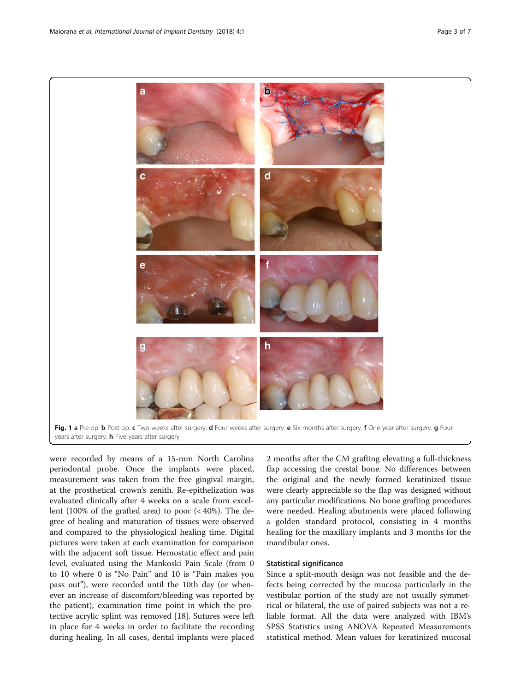<span id="page-2-0"></span>

were recorded by means of a 15-mm North Carolina periodontal probe. Once the implants were placed, measurement was taken from the free gingival margin, at the prosthetical crown's zenith. Re-epithelization was evaluated clinically after 4 weeks on a scale from excellent (100% of the grafted area) to poor (< 40%). The degree of healing and maturation of tissues were observed and compared to the physiological healing time. Digital pictures were taken at each examination for comparison with the adjacent soft tissue. Hemostatic effect and pain level, evaluated using the Mankoski Pain Scale (from 0 to 10 where 0 is "No Pain" and 10 is "Pain makes you pass out"), were recorded until the 10th day (or whenever an increase of discomfort/bleeding was reported by the patient); examination time point in which the protective acrylic splint was removed [[18](#page-5-0)]. Sutures were left in place for 4 weeks in order to facilitate the recording during healing. In all cases, dental implants were placed

2 months after the CM grafting elevating a full-thickness flap accessing the crestal bone. No differences between the original and the newly formed keratinized tissue were clearly appreciable so the flap was designed without any particular modifications. No bone grafting procedures were needed. Healing abutments were placed following a golden standard protocol, consisting in 4 months healing for the maxillary implants and 3 months for the mandibular ones.

## Statistical significance

Since a split-mouth design was not feasible and the defects being corrected by the mucosa particularly in the vestibular portion of the study are not usually symmetrical or bilateral, the use of paired subjects was not a reliable format. All the data were analyzed with IBM's SPSS Statistics using ANOVA Repeated Measurements statistical method. Mean values for keratinized mucosal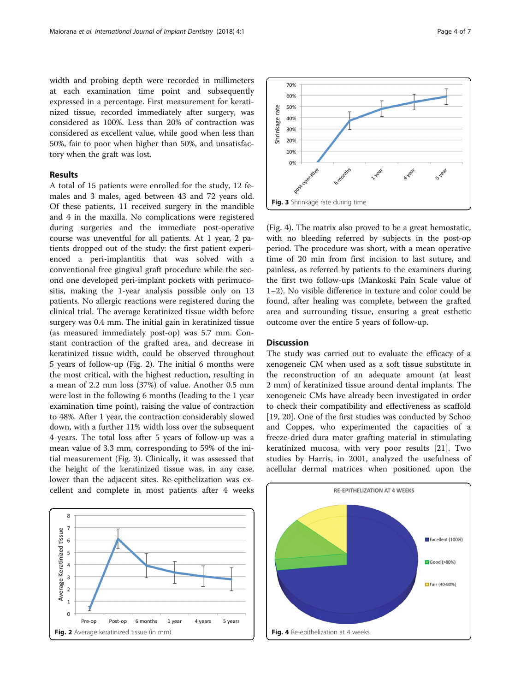width and probing depth were recorded in millimeters at each examination time point and subsequently expressed in a percentage. First measurement for keratinized tissue, recorded immediately after surgery, was considered as 100%. Less than 20% of contraction was considered as excellent value, while good when less than 50%, fair to poor when higher than 50%, and unsatisfactory when the graft was lost.

### Results

A total of 15 patients were enrolled for the study, 12 females and 3 males, aged between 43 and 72 years old. Of these patients, 11 received surgery in the mandible and 4 in the maxilla. No complications were registered during surgeries and the immediate post-operative course was uneventful for all patients. At 1 year, 2 patients dropped out of the study: the first patient experienced a peri-implantitis that was solved with a conventional free gingival graft procedure while the second one developed peri-implant pockets with perimucositis, making the 1-year analysis possible only on 13 patients. No allergic reactions were registered during the clinical trial. The average keratinized tissue width before surgery was 0.4 mm. The initial gain in keratinized tissue (as measured immediately post-op) was 5.7 mm. Constant contraction of the grafted area, and decrease in keratinized tissue width, could be observed throughout 5 years of follow-up (Fig. 2). The initial 6 months were the most critical, with the highest reduction, resulting in a mean of 2.2 mm loss (37%) of value. Another 0.5 mm were lost in the following 6 months (leading to the 1 year examination time point), raising the value of contraction to 48%. After 1 year, the contraction considerably slowed down, with a further 11% width loss over the subsequent 4 years. The total loss after 5 years of follow-up was a mean value of 3.3 mm, corresponding to 59% of the initial measurement (Fig. 3). Clinically, it was assessed that the height of the keratinized tissue was, in any case, lower than the adjacent sites. Re-epithelization was excellent and complete in most patients after 4 weeks





(Fig. 4). The matrix also proved to be a great hemostatic, with no bleeding referred by subjects in the post-op period. The procedure was short, with a mean operative time of 20 min from first incision to last suture, and painless, as referred by patients to the examiners during the first two follow-ups (Mankoski Pain Scale value of 1–2). No visible difference in texture and color could be found, after healing was complete, between the grafted area and surrounding tissue, ensuring a great esthetic outcome over the entire 5 years of follow-up.

# **Discussion**

The study was carried out to evaluate the efficacy of a xenogeneic CM when used as a soft tissue substitute in the reconstruction of an adequate amount (at least 2 mm) of keratinized tissue around dental implants. The xenogeneic CMs have already been investigated in order to check their compatibility and effectiveness as scaffold [[19, 20\]](#page-5-0). One of the first studies was conducted by Schoo and Coppes, who experimented the capacities of a freeze-dried dura mater grafting material in stimulating keratinized mucosa, with very poor results [[21](#page-5-0)]. Two studies by Harris, in 2001, analyzed the usefulness of acellular dermal matrices when positioned upon the

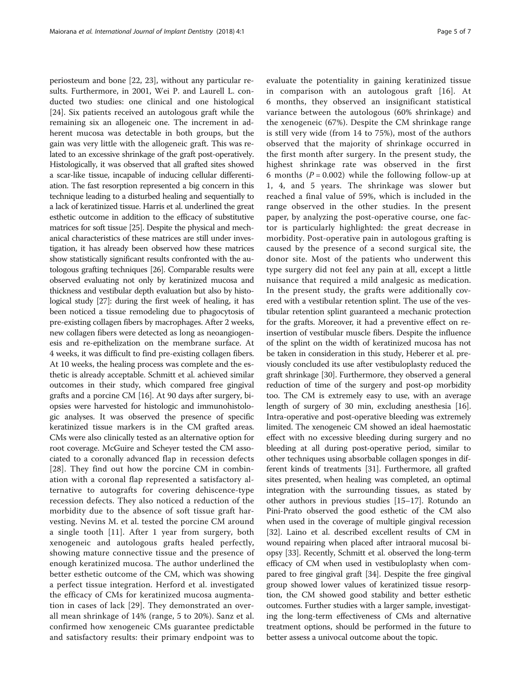periosteum and bone [\[22](#page-5-0), [23\]](#page-5-0), without any particular results. Furthermore, in 2001, Wei P. and Laurell L. conducted two studies: one clinical and one histological [[24\]](#page-5-0). Six patients received an autologous graft while the remaining six an allogeneic one. The increment in adherent mucosa was detectable in both groups, but the gain was very little with the allogeneic graft. This was related to an excessive shrinkage of the graft post-operatively. Histologically, it was observed that all grafted sites showed a scar-like tissue, incapable of inducing cellular differentiation. The fast resorption represented a big concern in this technique leading to a disturbed healing and sequentially to a lack of keratinized tissue. Harris et al. underlined the great esthetic outcome in addition to the efficacy of substitutive matrices for soft tissue [\[25\]](#page-5-0). Despite the physical and mechanical characteristics of these matrices are still under investigation, it has already been observed how these matrices show statistically significant results confronted with the autologous grafting techniques [[26](#page-5-0)]. Comparable results were observed evaluating not only by keratinized mucosa and thickness and vestibular depth evaluation but also by histological study [\[27\]](#page-6-0): during the first week of healing, it has been noticed a tissue remodeling due to phagocytosis of pre-existing collagen fibers by macrophages. After 2 weeks, new collagen fibers were detected as long as neoangiogenesis and re-epithelization on the membrane surface. At 4 weeks, it was difficult to find pre-existing collagen fibers. At 10 weeks, the healing process was complete and the esthetic is already acceptable. Schmitt et al. achieved similar outcomes in their study, which compared free gingival grafts and a porcine CM [\[16\]](#page-5-0). At 90 days after surgery, biopsies were harvested for histologic and immunohistologic analyses. It was observed the presence of specific keratinized tissue markers is in the CM grafted areas. CMs were also clinically tested as an alternative option for root coverage. McGuire and Scheyer tested the CM associated to a coronally advanced flap in recession defects [[28](#page-6-0)]. They find out how the porcine CM in combination with a coronal flap represented a satisfactory alternative to autografts for covering dehiscence-type recession defects. They also noticed a reduction of the morbidity due to the absence of soft tissue graft harvesting. Nevins M. et al. tested the porcine CM around a single tooth [[11\]](#page-5-0). After 1 year from surgery, both xenogeneic and autologous grafts healed perfectly, showing mature connective tissue and the presence of enough keratinized mucosa. The author underlined the better esthetic outcome of the CM, which was showing a perfect tissue integration. Herford et al. investigated the efficacy of CMs for keratinized mucosa augmentation in cases of lack [[29\]](#page-6-0). They demonstrated an overall mean shrinkage of 14% (range, 5 to 20%). Sanz et al. confirmed how xenogeneic CMs guarantee predictable and satisfactory results: their primary endpoint was to

evaluate the potentiality in gaining keratinized tissue in comparison with an autologous graft [[16](#page-5-0)]. At 6 months, they observed an insignificant statistical variance between the autologous (60% shrinkage) and the xenogeneic (67%). Despite the CM shrinkage range is still very wide (from 14 to 75%), most of the authors observed that the majority of shrinkage occurred in the first month after surgery. In the present study, the highest shrinkage rate was observed in the first 6 months ( $P = 0.002$ ) while the following follow-up at 1, 4, and 5 years. The shrinkage was slower but reached a final value of 59%, which is included in the range observed in the other studies. In the present paper, by analyzing the post-operative course, one factor is particularly highlighted: the great decrease in morbidity. Post-operative pain in autologous grafting is caused by the presence of a second surgical site, the donor site. Most of the patients who underwent this type surgery did not feel any pain at all, except a little nuisance that required a mild analgesic as medication. In the present study, the grafts were additionally covered with a vestibular retention splint. The use of the vestibular retention splint guaranteed a mechanic protection for the grafts. Moreover, it had a preventive effect on reinsertion of vestibular muscle fibers. Despite the influence of the splint on the width of keratinized mucosa has not be taken in consideration in this study, Heberer et al. previously concluded its use after vestibuloplasty reduced the graft shrinkage [\[30](#page-6-0)]. Furthermore, they observed a general reduction of time of the surgery and post-op morbidity too. The CM is extremely easy to use, with an average length of surgery of 30 min, excluding anesthesia [[16](#page-5-0)]. Intra-operative and post-operative bleeding was extremely limited. The xenogeneic CM showed an ideal haemostatic effect with no excessive bleeding during surgery and no bleeding at all during post-operative period, similar to other techniques using absorbable collagen sponges in different kinds of treatments [[31](#page-6-0)]. Furthermore, all grafted sites presented, when healing was completed, an optimal integration with the surrounding tissues, as stated by other authors in previous studies [[15](#page-5-0)–[17\]](#page-5-0). Rotundo an Pini-Prato observed the good esthetic of the CM also when used in the coverage of multiple gingival recession [[32](#page-6-0)]. Laino et al. described excellent results of CM in wound repairing when placed after intraoral mucosal biopsy [\[33\]](#page-6-0). Recently, Schmitt et al. observed the long-term efficacy of CM when used in vestibuloplasty when compared to free gingival graft [[34](#page-6-0)]. Despite the free gingival group showed lower values of keratinized tissue resorption, the CM showed good stability and better esthetic outcomes. Further studies with a larger sample, investigating the long-term effectiveness of CMs and alternative treatment options, should be performed in the future to better assess a univocal outcome about the topic.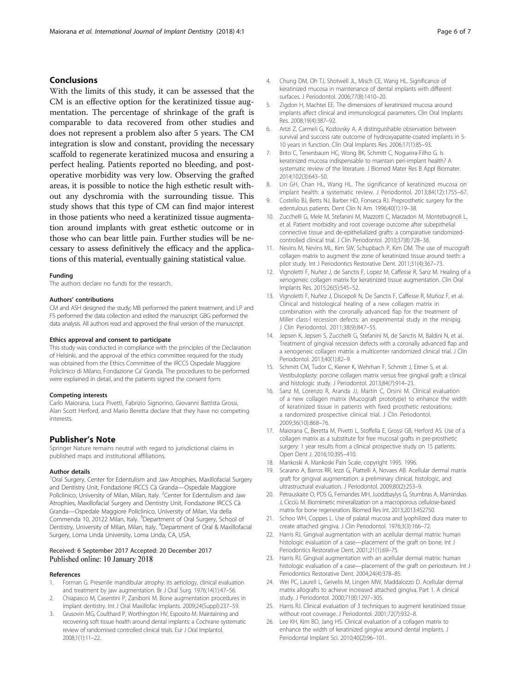## <span id="page-5-0"></span>Conclusions

With the limits of this study, it can be assessed that the CM is an effective option for the keratinized tissue augmentation. The percentage of shrinkage of the graft is comparable to data recovered from other studies and does not represent a problem also after 5 years. The CM integration is slow and constant, providing the necessary scaffold to regenerate keratinized mucosa and ensuring a perfect healing. Patients reported no bleeding, and postoperative morbidity was very low. Observing the grafted areas, it is possible to notice the high esthetic result without any dyschromia with the surrounding tissue. This study shows that this type of CM can find major interest in those patients who need a keratinized tissue augmentation around implants with great esthetic outcome or in those who can bear little pain. Further studies will be necessary to assess definitively the efficacy and the applications of this material, eventually gaining statistical value.

#### Funding

The authors declare no funds for the research.

#### Authors' contributions

CM and ASH designed the study; MB performed the patient treatment, and LP and FS performed the data collection and edited the manuscript. GBG performed the data analysis. All authors read and approved the final version of the manuscript.

#### Ethics approval and consent to participate

This study was conducted in compliance with the principles of the Declaration of Helsinki, and the approval of the ethics committee required for the study was obtained from the Ethics Committee of the IRCCS Ospedale Maggiore Policlinico di Milano, Fondazione Ca' Granda. The procedures to be performed were explained in detail, and the patients signed the consent form.

#### Competing interests

Carlo Maiorana, Luca Pivetti, Fabrizio Signorino, Giovanni Battista Grossi, Alan Scott Herford, and Mario Beretta declare that they have no competing interests.

#### Publisher's Note

Springer Nature remains neutral with regard to jurisdictional claims in published maps and institutional affiliations.

#### Author details

<sup>1</sup>Oral Surgery, Center for Edentulism and Jaw Atrophies, Maxillofacial Surgery and Dentistry Unit, Fondazione IRCCS Cà Granda—Ospedale Maggiore Policlinico, University of Milan, Milan, Italy. <sup>2</sup> Center for Edentulism and Jaw Atrophies, Maxillofacial Surgery and Dentistry Unit, Fondazione IRCCS Cà Granda—Ospedale Maggiore Policlinico, University of Milan, Via della Commenda 10, 20122 Milan, Italy. <sup>3</sup>Department of Oral Surgery, School of Dentistry, University of Milan, Milan, Italy. <sup>4</sup>Department of Oral & Maxillofacial Surgery, Loma Linda University, Loma Linda, CA, USA.

# Received: 6 September 2017 Accepted: 20 December 2017

#### References

- 1. Forman G. Presenile mandibular atrophy: its aetiology, clinical evaluation and treatment by jaw augmentation. Br J Oral Surg. 1976;14(1):47–56.
- 2. Chiapasco M, Casentini P, Zaniboni M. Bone augmentation procedures in implant dentistry. Int J Oral Maxillofac Implants. 2009;24(Suppl):237–59.
- Grusovin MG, Coulthard P, Worthington HV, Esposito M. Maintaining and recovering soft tissue health around dental implants: a Cochrane systematic review of randomised controlled clinical trials. Eur J Oral Implantol. 2008;1(1):11–22.
- 4. Chung DM, Oh TJ, Shotwell JL, Misch CE, Wang HL. Significance of keratinized mucosa in maintenance of dental implants with different surfaces. J Periodontol. 2006;77(8):1410–20.
- Zigdon H, Machtei EE. The dimensions of keratinized mucosa around implants affect clinical and immunological parameters. Clin Oral Implants Res. 2008;19(4):387–92.
- 6. Artzi Z, Carmeli G, Kozlovsky A. A distinguishable observation between survival and success rate outcome of hydroxyapatite-coated implants in 5- 10 years in function. Clin Oral Implants Res. 2006;17(1):85–93.
- 7. Brito C, Tenenbaum HC, Wong BK, Schmitt C, Nogueira-Filho G. Is keratinized mucosa indispensable to maintain peri-implant health? A systematic review of the literature. J Biomed Mater Res B Appl Biomater. 2014;102(3):643–50.
- 8. Lin GH, Chan HL, Wang HL. The significance of keratinized mucosa on implant health: a systematic review. J Periodontol. 2013;84(12):1755–67.
- 9. Costello BJ, Betts NJ, Barber HD, Fonseca RJ. Preprosthetic surgery for the edentulous patients. Dent Clin N Am. 1996;40(1):19–38.
- 10. Zucchelli G, Mele M, Stefanini M, Mazzotti C, Marzadori M, Montebugnoli L, et al. Patient morbidity and root coverage outcome after subepithelial connective tissue and de-epithelialized grafts: a comparative randomizedcontrolled clinical trial. J Clin Periodontol. 2010;37(8):728–38.
- 11. Nevins M, Nevins ML, Kim SW, Schupbach P, Kim DM. The use of mucograft collagen matrix to augment the zone of keratinized tissue around teeth: a pilot study. Int J Periodontics Restorative Dent. 2011;31(4):367–73.
- 12. Vignoletti F, Nuñez J, de Sanctis F, Lopez M, Caffesse R, Sanz M. Healing of a xenogeneic collagen matrix for keratinized tissue augmentation. Clin Oral Implants Res. 2015;26(5):545–52.
- 13. Vignoletti F, Nuñez J, Discepoli N, De Sanctis F, Caffesse R, Muñoz F, et al. Clinical and histological healing of a new collagen matrix in combination with the coronally advanced flap for the treatment of Miller class-I recession defects: an experimental study in the minipig. J Clin Periodontol. 2011;38(9):847–55.
- 14. Jepsen K, Jepsen S, Zucchelli G, Stefanini M, de Sanctis M, Baldini N, et al. Treatment of gingival recession defects with a coronally advanced flap and a xenogeneic collagen matrix: a multicenter randomized clinical trial. J Clin Periodontol. 2013;40(1):82–9.
- 15. Schmitt CM, Tudor C, Kiener K, Wehrhan F, Schmitt J, Eitner S, et al. Vestibuloplasty: porcine collagen matrix versus free gingival graft: a clinical and histologic study. J Periodontol. 2013;84(7):914–23.
- 16. Sanz M, Lorenzo R, Aranda JJ, Martin C, Orsini M. Clinical evaluation of a new collagen matrix (Mucograft prototype) to enhance the width of keratinized tissue in patients with fixed prosthetic restorations: a randomized prospective clinical trial. J Clin Periodontol. 2009;36(10):868–76.
- 17. Maiorana C, Beretta M, Pivetti L, Stoffella E, Grossi GB, Herford AS. Use of a collagen matrix as a substitute for free mucosal grafts in pre-prosthetic surgery: 1 year results from a clinical prospective study on 15 patients. Open Dent J. 2016;10:395–410.
- 18. Mankoski A. Mankoski Pain Scale, copyright 1995. 1996.
- 19. Scarano A, Barros RR, Iezzi G, Piattelli A, Novaes AB. Acellular dermal matrix graft for gingival augmentation: a preliminary clinical, histologic, and ultrastructural evaluation. J Periodontol. 2009;80(2):253–9.
- 20. Petrauskaite O, PDS G, Fernandes MH, Juodzbaylys G, Stumbras A, Maminskas J, Cicciù M. Biomimetic mineralization on a macroporous cellulose-based matrix for bone regeneration. Biomed Res Int. 2013;2013:452750.
- 21. Schoo WH, Coppes L. Use of palatal mucosa and lyophilized dura mater to create attached gingiva. J Clin Periodontol. 1976;3(3):166–72.
- 22. Harris RJ. Gingival augmentation with an acellular dermal matrix: human histologic evaluation of a case—placement of the graft on bone. Int J Periodontics Restorative Dent. 2001;21(1):69–75.
- 23. Harris RJ. Gingival augmentation with an acellular dermal matrix: human histologic evaluation of a case—placement of the graft on periosteum. Int J Periodontics Restorative Dent. 2004;24(4):378–85.
- 24. Wei PC, Laurell L, Geivelis M, Lingen MW, Maddalozzo D. Acellular dermal matrix allografts to achieve increased attached gingiva. Part 1. A clinical study. J Periodontol. 2000;71(8):1297–305.
- 25. Harris RJ. Clinical evaluation of 3 techniques to augment keratinized tissue without root coverage. J Periodontol. 2001;72(7):932–8.
- 26. Lee KH, Kim BO, Jang HS. Clinical evaluation of a collagen matrix to enhance the width of keratinized gingiva around dental implants. J Periodontal Implant Sci. 2010;40(2):96–101.